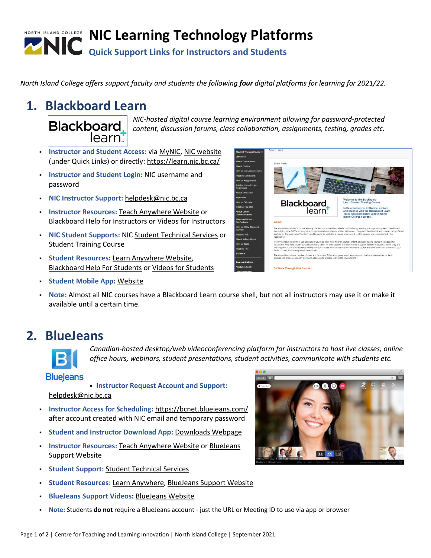# **NIC Learning Technology Platforms Quick Support Links for Instructors and Students**

*North Island College offers support faculty and students the following four digital platforms for learning for 2021/22.*

### **1. Blackboard Learn**

**Blackboard** 

*NIC-hosted digital course learning environment allowing for password-protected content, discussion forums, class collaboration, assignments, testing, grades etc.*

- **Instructor and Student Access:** via [MyNIC,](https://mynic.nic.bc.ca/) [NIC website](NIC%20website) (under Quick Links) or directly[: https://learn.nic.bc.ca/](https://learn.nic.bc.ca/)
- **Instructor and Student Login:** NIC username and password
- **NIC Instructor Support:** [helpdesk@nic.bc.ca](mailto:helpdesk@nic.bc.ca)

learn

- **Instructor Resources: [Teach Anywhere Website](https://teachanywhere.opened.ca/learning-technologies/blackboard-learn/) or** [Blackboard Help for Instructors](https://help.blackboard.com/Learn/Instructor?utm_source=odhm) or [Videos for Instructors](https://help.blackboard.com/Learn/Instructor/Ultra/Watch_Videos)
- **NIC Student Supports:** NIC [Student Technical Services](https://library.nic.bc.ca/studenttech) or [Student Training Course](https://learnanywhere.opened.ca/digital-technologies/blackboard-learn/student-training-course/)
- **Student Resources:** [Learn Anywhere Website,](https://learnanywhere.opened.ca/digital-technologies/blackboard-learn/student-training-course/) [Blackboard Help For Students](https://help.blackboard.com/Learn/Student?utm_source=odhm) or [Videos for Students](https://help.blackboard.com/Learn/Student/Ultra/Watch_Videos)
- **Blackboard** learn.

- **Example 2 Student Mobile App: [Website](https://help.blackboard.com/Blackboard_App/Quick_Start)**
- **Note:** Almost all NIC courses have a Blackboard Learn course shell, but not all instructors may use it or make it available until a certain time.

## **2. BlueJeans**



*Canadian-hosted desktop/web videoconferencing platform for instructors to host live classes, online office hours, webinars, student presentations, student activities, communicate with students etc.* 

#### **Blueleans**

- **Instructor Request Account and Support:**  [helpdesk@nic.bc.ca](mailto:helpdesk@nic.bc.ca)
- **Instructor Access for Scheduling:** <https://bcnet.bluejeans.com/> after account created with NIC email and temporary password
- **Student and Instructor Download App:** [Downloads Webpage](https://www.bluejeans.com/downloads)
- **Instructor Resources: [Teach Anywhere Website](https://teachanywhere.opened.ca/learning-technologies/bluejeans/) or BlueJeans** [Support Website](https://support.bluejeans.com/s/)
- **Student Support:** [Student Technical Services](https://library.nic.bc.ca/studenttech)
- **Student Resources: [Learn Anywhere,](https://learnanywhere.opened.ca/digital-technologies/bluejeans/) [BlueJeans Support Website](https://support.bluejeans.com/s/topic/0TO2R000000kaiYWAQ/participating)**
- **BlueJeans Support Videos: [BlueJeans Website](https://support.bluejeans.com/s/topic/0TO2R000000kaifWAA/videos)**
- Note: Students **do not** require a BlueJeans account just the URL or Meeting ID to use via app or browser